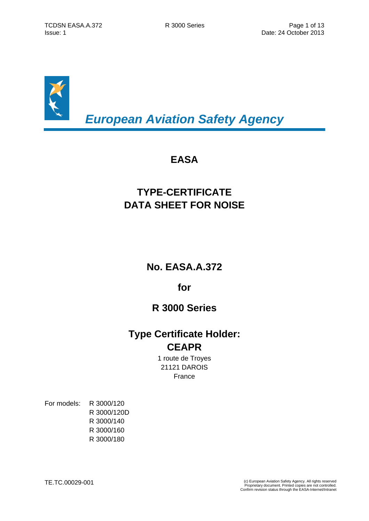

*European Aviation Safety Agency* 

# **EASA**

# **TYPE-CERTIFICATE DATA SHEET FOR NOISE**

**No. EASA.A.372** 

**for** 

## **R 3000 Series**

## **Type Certificate Holder: CEAPR**

1 route de Troyes 21121 DAROIS France

For models: R 3000/120 R 3000/120D R 3000/140 R 3000/160 R 3000/180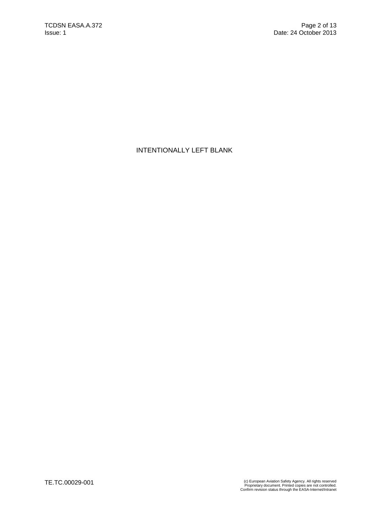## INTENTIONALLY LEFT BLANK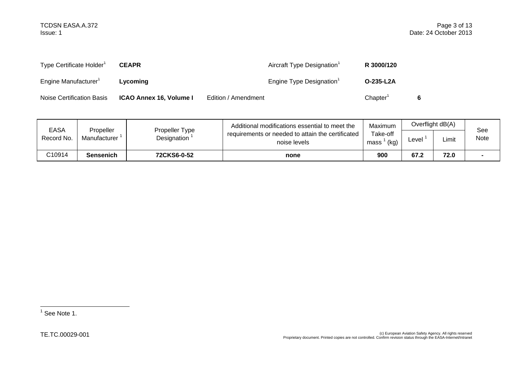| Type Certificate Holder <sup>1</sup> | <b>CEAPR</b>                   | Aircraft Type Designation <sup>1</sup> | R 3000/120 |   |
|--------------------------------------|--------------------------------|----------------------------------------|------------|---|
| Engine Manufacturer <sup>1</sup>     | Lycoming                       | Engine Type Designation <sup>1</sup>   | O-235-L2A  |   |
| Noise Certification Basis            | <b>ICAO Annex 16, Volume I</b> | Edition / Amendment                    | Chapter    | 6 |

| <b>EASA</b> | Propeller    | Propeller Type | Additional modifications essential to meet the                    | Maximum                  |       | Overflight dB(A) | See  |
|-------------|--------------|----------------|-------------------------------------------------------------------|--------------------------|-------|------------------|------|
| Record No.  | Manufacturer | Designation    | requirements or needed to attain the certificated<br>noise levels | Take-off<br>(kg)<br>mass | Level | Limit            | Note |
| C10914      | Sensenich    | 72CKS6-0-52    | none                                                              | 900                      | 67.2  | 72.0             |      |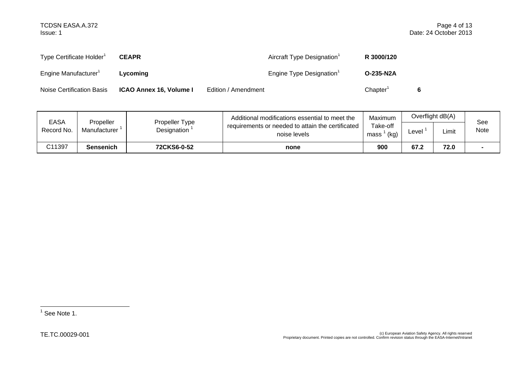| Type Certificate Holder <sup>1</sup> | <b>CEAPR</b>                   | Aircraft Type Designation <sup>1</sup> | R 3000/120 |  |
|--------------------------------------|--------------------------------|----------------------------------------|------------|--|
| Engine Manufacturer <sup>1</sup>     | Lycoming                       | Engine Type Designation <sup>1</sup>   | O-235-N2A  |  |
| Noise Certification Basis            | <b>ICAO Annex 16, Volume I</b> | Edition / Amendment                    | Chapter    |  |

| <b>EASA</b> |                           |                               | Additional modifications essential to meet the                    | Maximum                  |       | Overflight dB(A) |             |
|-------------|---------------------------|-------------------------------|-------------------------------------------------------------------|--------------------------|-------|------------------|-------------|
| Record No.  | Propeller<br>Manufacturer | Propeller Type<br>Designation | requirements or needed to attain the certificated<br>noise levels | Take-off<br>(kg)<br>mass | Level | Limit            | See<br>Note |
| C11397      | <b>Sensenich</b>          | 72CKS6-0-52                   | none                                                              | 900                      | 67.2  | 72.0             |             |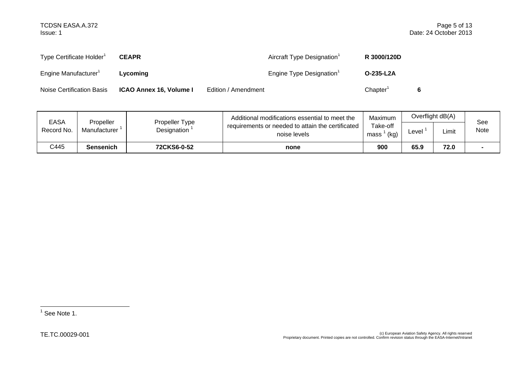| Type Certificate Holder <sup>1</sup> | <b>CEAPR</b>                   | Aircraft Type Designation <sup>1</sup> | R 3000/120D |  |
|--------------------------------------|--------------------------------|----------------------------------------|-------------|--|
| Engine Manufacturer <sup>1</sup>     | Lycoming                       | Engine Type Designation <sup>1</sup>   | O-235-L2A   |  |
| Noise Certification Basis            | <b>ICAO Annex 16, Volume I</b> | Edition / Amendment                    | Chapter     |  |

|                           |                           |                               | Additional modifications essential to meet the                    | Maximum                  |       | Overflight dB(A) |             |
|---------------------------|---------------------------|-------------------------------|-------------------------------------------------------------------|--------------------------|-------|------------------|-------------|
| <b>EASA</b><br>Record No. | Propeller<br>Manufacturer | Propeller Type<br>Designation | requirements or needed to attain the certificated<br>noise levels | Take-off<br>(kg)<br>mass | Level | Limit            | See<br>Note |
| C445                      | <b>Sensenich</b>          | 72CKS6-0-52                   | none                                                              | 900                      | 65.9  | 72.0             |             |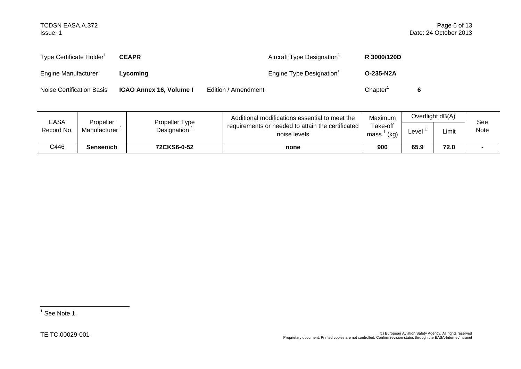| Type Certificate Holder <sup>1</sup> | <b>CEAPR</b>                   | Aircraft Type Designation <sup>1</sup> | R 3000/120D |  |
|--------------------------------------|--------------------------------|----------------------------------------|-------------|--|
| Engine Manufacturer <sup>1</sup>     | Lycoming                       | Engine Type Designation <sup>1</sup>   | O-235-N2A   |  |
| Noise Certification Basis            | <b>ICAO Annex 16, Volume I</b> | Edition / Amendment                    | Chapter     |  |

|                           |                           |                               | Additional modifications essential to meet the                    | Maximum                  |       | Overflight dB(A) | See  |
|---------------------------|---------------------------|-------------------------------|-------------------------------------------------------------------|--------------------------|-------|------------------|------|
| <b>EASA</b><br>Record No. | Propeller<br>Manufacturer | Propeller Type<br>Designation | requirements or needed to attain the certificated<br>noise levels | Take-off<br>(kg)<br>mass | Level | Limit            | Note |
| C446                      | <b>Sensenich</b>          | 72CKS6-0-52                   | none                                                              | 900                      | 65.9  | 72.0             |      |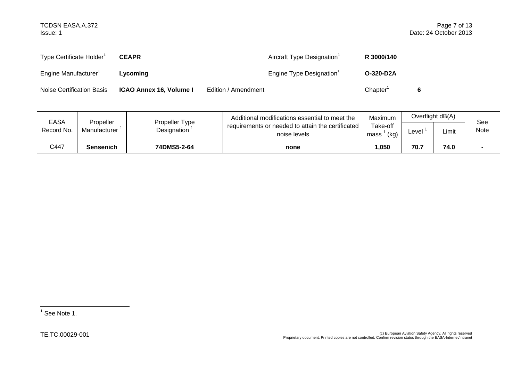| Type Certificate Holder <sup>1</sup> | <b>CEAPR</b>                   | Aircraft Type Designation <sup>1</sup> | R 3000/140 |  |
|--------------------------------------|--------------------------------|----------------------------------------|------------|--|
| Engine Manufacturer <sup>1</sup>     | Lycoming                       | Engine Type Designation <sup>1</sup>   | O-320-D2A  |  |
| Noise Certification Basis            | <b>ICAO Annex 16, Volume I</b> | Edition / Amendment                    | Chapter    |  |

| <b>EASA</b> |                           |                               | Additional modifications essential to meet the                    | Maximum                  |       | Overflight dB(A) | See  |
|-------------|---------------------------|-------------------------------|-------------------------------------------------------------------|--------------------------|-------|------------------|------|
| Record No.  | Propeller<br>Manufacturer | Propeller Type<br>Designation | requirements or needed to attain the certificated<br>noise levels | Take-off<br>(kg)<br>mass | Level | Limit            | Note |
| C447        | <b>Sensenich</b>          | 74DMS5-2-64                   | none                                                              | 050, ا                   | 70.7  | 74.0             |      |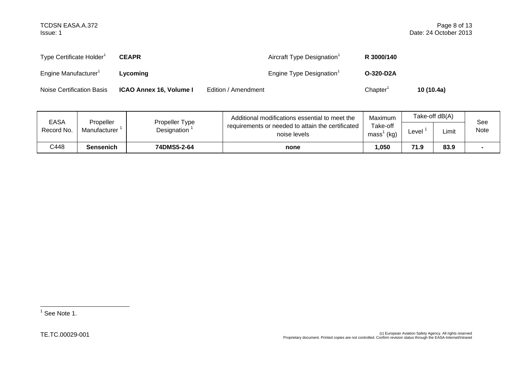| Type Certificate Holder <sup>1</sup> | <b>CEAPR</b>                   | Aircraft Type Designation <sup>1</sup> | R 3000/140           |            |
|--------------------------------------|--------------------------------|----------------------------------------|----------------------|------------|
| Engine Manufacturer <sup>1</sup>     | Lycoming                       | Engine Type Designation <sup>1</sup>   | O-320-D2A            |            |
| Noise Certification Basis            | <b>ICAO Annex 16, Volume I</b> | Edition / Amendment                    | Chapter <sup>'</sup> | 10 (10.4a) |

| <b>EASA</b> | Propeller    | Propeller Type | Additional modifications essential to meet the                    | Maximum                  |       | Take-off dB(A) | See  |
|-------------|--------------|----------------|-------------------------------------------------------------------|--------------------------|-------|----------------|------|
| Record No.  | Manufacturer | Designation    | requirements or needed to attain the certificated<br>noise levels | Take-off<br>(kg)<br>mass | Level | Limit          | Note |
| C448        | Sensenich    | 74DMS5-2-64    | none                                                              | ,050                     | 71.9  | 83.9           |      |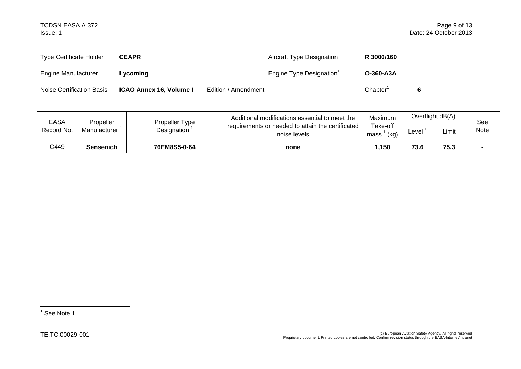| Type Certificate Holder <sup>1</sup> | <b>CEAPR</b>                   | Aircraft Type Designation <sup>1</sup> | R 3000/160           |  |
|--------------------------------------|--------------------------------|----------------------------------------|----------------------|--|
| Engine Manufacturer <sup>1</sup>     | Lycoming                       | Engine Type Designation <sup>1</sup>   | O-360-A3A            |  |
| Noise Certification Basis            | <b>ICAO Annex 16, Volume I</b> | Edition / Amendment                    | Chapter <sup>'</sup> |  |

| <b>EASA</b> |                           |                               | Additional modifications essential to meet the                    | Maximum                  | Overflight dB(A) |       |             |
|-------------|---------------------------|-------------------------------|-------------------------------------------------------------------|--------------------------|------------------|-------|-------------|
| Record No.  | Propeller<br>Manufacturer | Propeller Type<br>Designation | requirements or needed to attain the certificated<br>noise levels | Take-off<br>(kg)<br>mass | Level            | Limit | See<br>Note |
| C449        | <b>Sensenich</b>          | 76EM8S5-0-64                  | none                                                              | .150                     | 73.6             | 75.3  |             |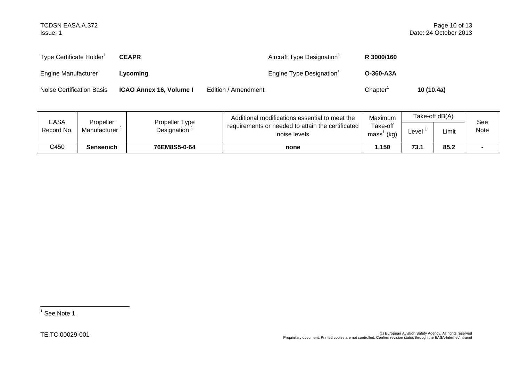| Noise Certification Basis            | <b>ICAO Annex 16, Volume I</b> | Edition / Amendment                    | Chapter    | 10 (10.4a) |
|--------------------------------------|--------------------------------|----------------------------------------|------------|------------|
| Engine Manufacturer <sup>1</sup>     | Lycoming                       | Engine Type Designation <sup>1</sup>   | O-360-A3A  |            |
| Type Certificate Holder <sup>1</sup> | <b>CEAPR</b>                   | Aircraft Type Designation <sup>1</sup> | R 3000/160 |            |

|                           | Propeller        |                               | Additional modifications essential to meet the                    | Maximum                  | Take-off dB(A) |       |             |
|---------------------------|------------------|-------------------------------|-------------------------------------------------------------------|--------------------------|----------------|-------|-------------|
| <b>EASA</b><br>Record No. | Manufacturer     | Propeller Type<br>Designation | requirements or needed to attain the certificated<br>noise levels | Take-off<br>mass<br>(kg) | ∟evel          | Limit | See<br>Note |
| C450                      | <b>Sensenich</b> | 76EM8S5-0-64                  | none                                                              | ,150                     | 73.1           | 85.2  |             |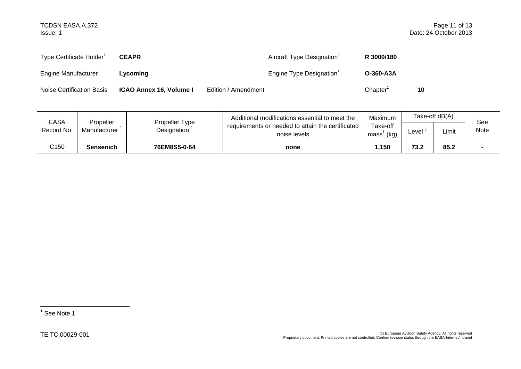| Type Certificate Holder <sup>1</sup> | <b>CEAPR</b>                   | Aircraft Type Designation <sup>1</sup> | R 3000/180 |    |
|--------------------------------------|--------------------------------|----------------------------------------|------------|----|
| Engine Manufacturer <sup>1</sup>     | Lycoming                       | Engine Type Designation <sup>1</sup>   | O-360-A3A  |    |
| Noise Certification Basis            | <b>ICAO Annex 16, Volume I</b> | Edition / Amendment                    | Chapter'   | 10 |

| <b>EASA</b> |                  | Propeller Type<br>Propeller<br>Designation | Additional modifications essential to meet the<br>requirements or needed to attain the certificated<br>noise levels | Maximum<br>Take-off<br>(kg)<br>mass | Take-off dB(A) |       |             |
|-------------|------------------|--------------------------------------------|---------------------------------------------------------------------------------------------------------------------|-------------------------------------|----------------|-------|-------------|
| Record No.  | Manufacturer     |                                            |                                                                                                                     |                                     | Level          | Limit | See<br>Note |
| C150        | <b>Sensenich</b> | 76EM8S5-0-64                               | none                                                                                                                | ,150                                | 73.2           | 85.2  | . .         |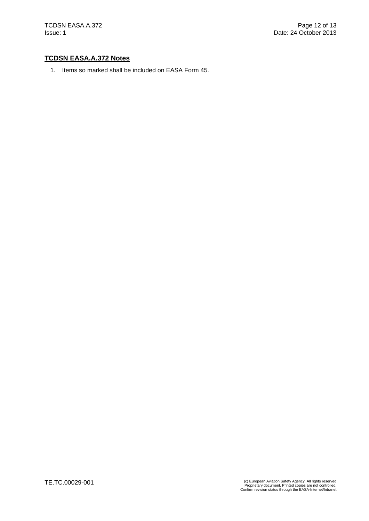### **TCDSN EASA.A.372 Notes**

1. Items so marked shall be included on EASA Form 45.